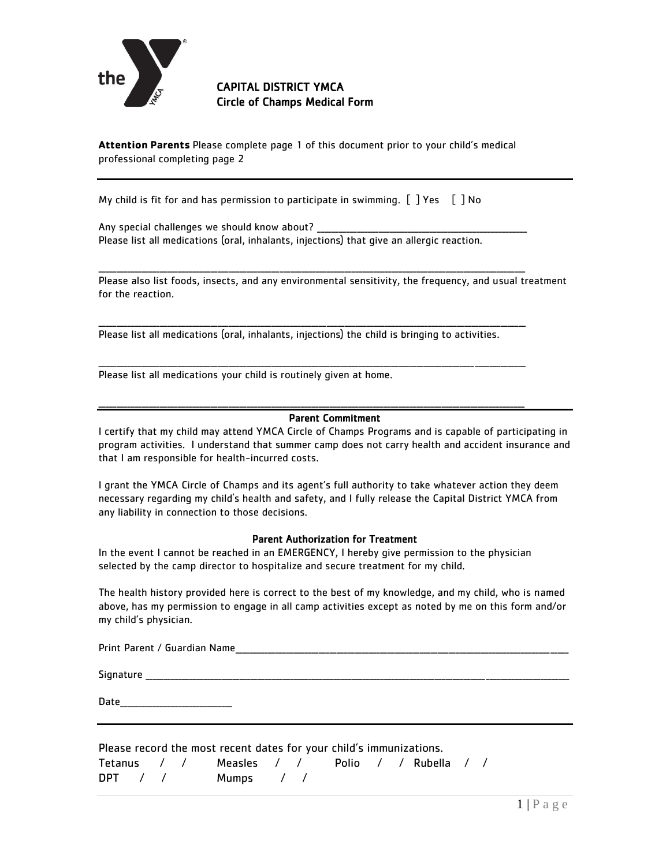

CAPITAL DISTRICT YMCA Circle of Champs Medical Form

**Attention Parents** Please complete page 1 of this document prior to your child's medical professional completing page 2

My child is fit for and has permission to participate in swimming.  $[$   $]$  Yes  $[$   $]$  No

Any special challenges we should know about? Please list all medications (oral, inhalants, injections) that give an allergic reaction.

Please also list foods, insects, and any environmental sensitivity, the frequency, and usual treatment for the reaction.

\_\_\_\_\_\_\_\_\_\_\_\_\_\_\_\_\_\_\_\_\_\_\_\_\_\_\_\_\_\_\_\_\_\_\_\_\_\_\_\_\_\_\_\_\_\_\_\_\_\_\_\_\_\_\_\_\_\_\_\_\_\_\_\_\_\_\_\_\_\_\_\_\_\_\_\_\_\_\_\_\_\_\_\_\_\_\_\_\_\_\_\_\_\_\_\_\_\_\_\_\_\_\_\_\_\_\_\_\_\_\_\_\_\_\_\_\_\_

\_\_\_\_\_\_\_\_\_\_\_\_\_\_\_\_\_\_\_\_\_\_\_\_\_\_\_\_\_\_\_\_\_\_\_\_\_\_\_\_\_\_\_\_\_\_\_\_\_\_\_\_\_\_\_\_\_\_\_\_\_\_\_\_\_\_\_\_\_\_\_\_\_\_\_\_\_\_\_\_\_\_\_\_\_\_\_\_\_\_\_\_\_\_\_\_\_\_\_\_\_\_\_\_\_\_\_\_\_\_\_\_\_\_\_\_\_\_

\_\_\_\_\_\_\_\_\_\_\_\_\_\_\_\_\_\_\_\_\_\_\_\_\_\_\_\_\_\_\_\_\_\_\_\_\_\_\_\_\_\_\_\_\_\_\_\_\_\_\_\_\_\_\_\_\_\_\_\_\_\_\_\_\_\_\_\_\_\_\_\_\_\_\_\_\_\_\_\_\_\_\_\_\_\_\_\_\_\_\_\_\_\_\_\_\_\_\_\_\_\_\_\_\_\_\_\_\_\_\_\_\_\_\_\_\_\_

\_\_\_\_\_\_\_\_\_\_\_\_\_\_\_\_\_\_\_\_\_\_\_\_\_\_\_\_\_\_\_\_\_\_\_\_\_\_\_\_\_\_\_\_\_\_\_\_\_\_\_\_\_\_\_\_\_\_\_\_\_\_\_\_\_\_\_\_\_\_\_\_\_\_\_\_\_\_\_\_\_\_\_\_\_\_\_\_\_\_\_\_\_\_\_\_\_\_\_\_\_\_\_\_\_\_\_\_\_\_\_\_\_\_\_\_\_\_

Please list all medications (oral, inhalants, injections) the child is bringing to activities.

Please list all medications your child is routinely given at home.

## Parent Commitment

I certify that my child may attend YMCA Circle of Champs Programs and is capable of participating in program activities. I understand that summer camp does not carry health and accident insurance and that I am responsible for health-incurred costs.

I grant the YMCA Circle of Champs and its agent's full authority to take whatever action they deem necessary regarding my child's health and safety, and I fully release the Capital District YMCA from any liability in connection to those decisions.

## Parent Authorization for Treatment

In the event I cannot be reached in an EMERGENCY, I hereby give permission to the physician selected by the camp director to hospitalize and secure treatment for my child.

The health history provided here is correct to the best of my knowledge, and my child, who is named above, has my permission to engage in all camp activities except as noted by me on this form and/or my child's physician.

| Print Parent / Guardian Name |  |  |  |  |  |  |  |
|------------------------------|--|--|--|--|--|--|--|
|                              |  |  |  |  |  |  |  |
| Signature                    |  |  |  |  |  |  |  |
| Date                         |  |  |  |  |  |  |  |

| Please record the most recent dates for your child's immunizations. |  |  |  |                                               |  |  |  |  |  |
|---------------------------------------------------------------------|--|--|--|-----------------------------------------------|--|--|--|--|--|
|                                                                     |  |  |  | Tetanus / / Measles / / Polio / / Rubella / / |  |  |  |  |  |
|                                                                     |  |  |  | DPT / / Mumps / /                             |  |  |  |  |  |